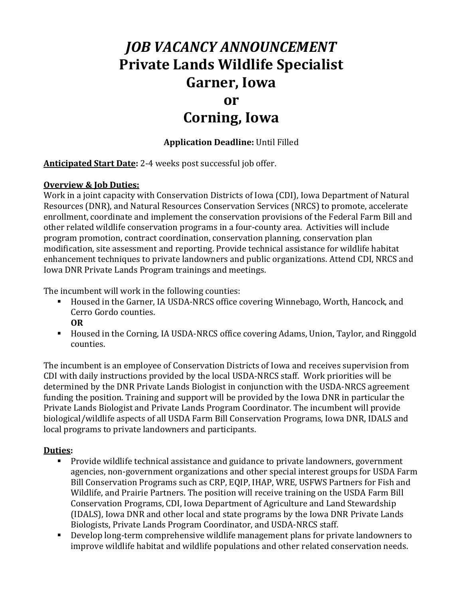# *JOB VACANCY ANNOUNCEMENT* **Private Lands Wildlife Specialist Garner, Iowa**

### **or**

## **Corning, Iowa**

#### **Application Deadline:** Until Filled

**Anticipated Start Date:** 2-4 weeks post successful job offer.

#### **Overview & Job Duties:**

Work in a joint capacity with Conservation Districts of Iowa (CDI), Iowa Department of Natural Resources (DNR), and Natural Resources Conservation Services (NRCS) to promote, accelerate enrollment, coordinate and implement the conservation provisions of the Federal Farm Bill and other related wildlife conservation programs in a four-county area. Activities will include program promotion, contract coordination, conservation planning, conservation plan modification, site assessment and reporting. Provide technical assistance for wildlife habitat enhancement techniques to private landowners and public organizations. Attend CDI, NRCS and Iowa DNR Private Lands Program trainings and meetings.

The incumbent will work in the following counties:

- Housed in the Garner, IA USDA-NRCS office covering Winnebago, Worth, Hancock, and Cerro Gordo counties.
	- **OR**
- Housed in the Corning, IA USDA-NRCS office covering Adams, Union, Taylor, and Ringgold counties.

The incumbent is an employee of Conservation Districts of Iowa and receives supervision from CDI with daily instructions provided by the local USDA-NRCS staff. Work priorities will be determined by the DNR Private Lands Biologist in conjunction with the USDA-NRCS agreement funding the position. Training and support will be provided by the Iowa DNR in particular the Private Lands Biologist and Private Lands Program Coordinator. The incumbent will provide biological/wildlife aspects of all USDA Farm Bill Conservation Programs, Iowa DNR, IDALS and local programs to private landowners and participants.

#### **Duties:**

- Provide wildlife technical assistance and guidance to private landowners, government agencies, non-government organizations and other special interest groups for USDA Farm Bill Conservation Programs such as CRP, EQIP, IHAP, WRE, USFWS Partners for Fish and Wildlife, and Prairie Partners. The position will receive training on the USDA Farm Bill Conservation Programs, CDI, Iowa Department of Agriculture and Land Stewardship (IDALS), Iowa DNR and other local and state programs by the Iowa DNR Private Lands Biologists, Private Lands Program Coordinator, and USDA-NRCS staff.
- Develop long-term comprehensive wildlife management plans for private landowners to improve wildlife habitat and wildlife populations and other related conservation needs.